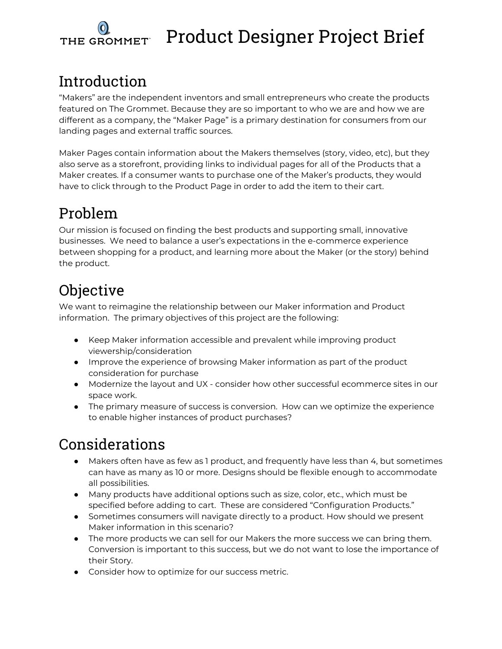

# Product Designer Project Brief

# Introduction

"Makers" are the independent inventors and small entrepreneurs who create the products featured on The Grommet. Because they are so important to who we are and how we are different as a company, the "Maker Page" is a primary destination for consumers from our landing pages and external traffic sources.

Maker Pages contain information about the Makers themselves (story, video, etc), but they also serve as a storefront, providing links to individual pages for all of the Products that a Maker creates. If a consumer wants to purchase one of the Maker's products, they would have to click through to the Product Page in order to add the item to their cart.

### Problem

Our mission is focused on finding the best products and supporting small, innovative businesses. We need to balance a user's expectations in the e-commerce experience between shopping for a product, and learning more about the Maker (or the story) behind the product.

# Objective

We want to reimagine the relationship between our Maker information and Product information. The primary objectives of this project are the following:

- Keep Maker information accessible and prevalent while improving product viewership/consideration
- Improve the experience of browsing Maker information as part of the product consideration for purchase
- Modernize the layout and UX consider how other successful ecommerce sites in our space work.
- The primary measure of success is conversion. How can we optimize the experience to enable higher instances of product purchases?

### Considerations

- Makers often have as few as 1 product, and frequently have less than 4, but sometimes can have as many as 10 or more. Designs should be flexible enough to accommodate all possibilities.
- Many products have additional options such as size, color, etc., which must be specified before adding to cart. These are considered "Configuration Products."
- Sometimes consumers will navigate directly to a product. How should we present Maker information in this scenario?
- The more products we can sell for our Makers the more success we can bring them. Conversion is important to this success, but we do not want to lose the importance of their Story.
- Consider how to optimize for our success metric.